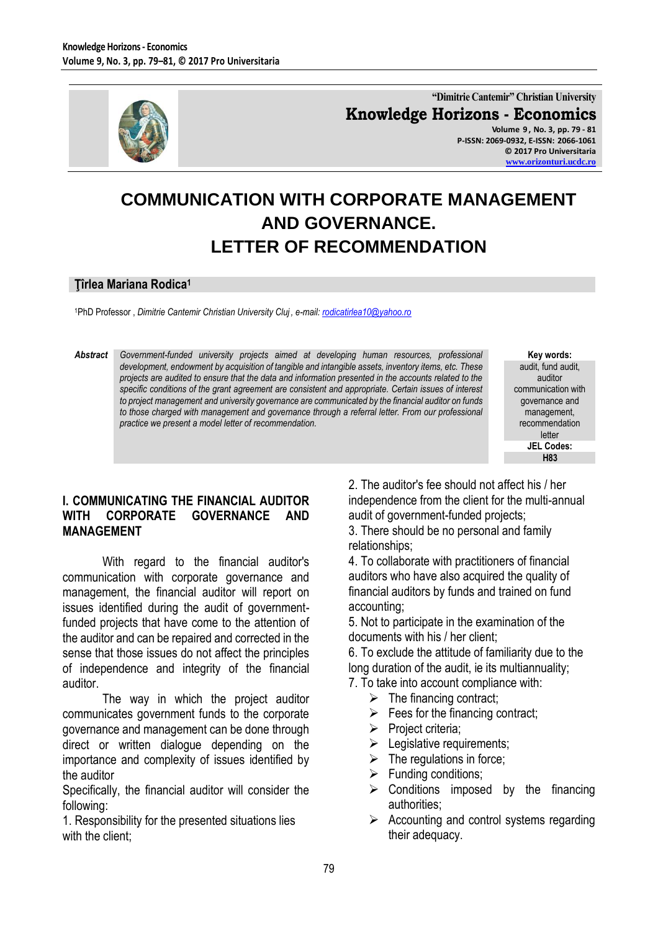

**"Dimitrie Cantemir" Christian University Knowledge Horizons - Economics Volume 9 , No. 3, pp. 79 - 81**

**P-ISSN: 2069-0932, E-ISSN: 2066-1061 © 2017 Pro Universitaria [www.orizonturi.ucdc.ro](http://www.orizonturi.ucdc.ro/)**

# **COMMUNICATION WITH CORPORATE MANAGEMENT AND GOVERNANCE. LETTER OF RECOMMENDATION**

#### **Ţîrlea Mariana Rodica<sup>1</sup>**

<sup>1</sup>PhD Professor , *Dimitrie Cantemir Christian University Cluj , e-mail[: rodicatirlea10@yahoo.ro](mailto:rodicatirlea10@yahoo.ro)* 

*Abstract Government-funded university projects aimed at developing human resources, professional development, endowment by acquisition of tangible and intangible assets, inventory items, etc. These projects are audited to ensure that the data and information presented in the accounts related to the specific conditions of the grant agreement are consistent and appropriate. Certain issues of interest to project management and university governance are communicated by the financial auditor on funds*  to those charged with management and governance through a referral letter. From our professional *practice we present a model letter of recommendation.*

**Key words:** audit, fund audit, auditor communication with governance and management, recommendation letter **JEL Codes: H83**

### **I. COMMUNICATING THE FINANCIAL AUDITOR WITH CORPORATE GOVERNANCE AND MANAGEMENT**

With regard to the financial auditor's communication with corporate governance and management, the financial auditor will report on issues identified during the audit of governmentfunded projects that have come to the attention of the auditor and can be repaired and corrected in the sense that those issues do not affect the principles of independence and integrity of the financial auditor.

The way in which the project auditor communicates government funds to the corporate governance and management can be done through direct or written dialogue depending on the importance and complexity of issues identified by the auditor

Specifically, the financial auditor will consider the following:

1. Responsibility for the presented situations lies with the client:

2. The auditor's fee should not affect his / her independence from the client for the multi-annual audit of government-funded projects;

3. There should be no personal and family relationships;

4. To collaborate with practitioners of financial auditors who have also acquired the quality of financial auditors by funds and trained on fund accounting;

5. Not to participate in the examination of the documents with his / her client;

6. To exclude the attitude of familiarity due to the long duration of the audit, ie its multiannuality;

- 7. To take into account compliance with:
	- $\triangleright$  The financing contract;
	- $\triangleright$  Fees for the financing contract;
	- $\triangleright$  Project criteria;
	- $\blacktriangleright$  Legislative requirements;
	- $\triangleright$  The regulations in force;
	- $\triangleright$  Funding conditions;
	- $\triangleright$  Conditions imposed by the financing authorities;
	- $\triangleright$  Accounting and control systems regarding their adequacy.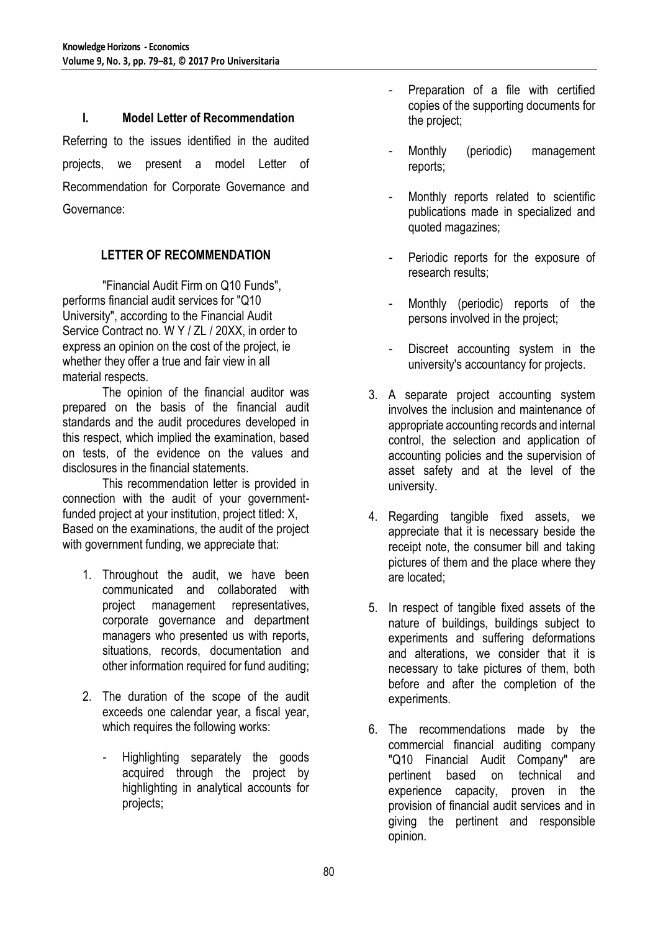#### **I. Model Letter of Recommendation**

Referring to the issues identified in the audited projects, we present a model Letter of Recommendation for Corporate Governance and Governance:

# **LETTER OF RECOMMENDATION**

"Financial Audit Firm on Q10 Funds", performs financial audit services for "Q10 University", according to the Financial Audit Service Contract no. W Y / ZL / 20XX, in order to express an opinion on the cost of the project, ie whether they offer a true and fair view in all material respects.

The opinion of the financial auditor was prepared on the basis of the financial audit standards and the audit procedures developed in this respect, which implied the examination, based on tests, of the evidence on the values and disclosures in the financial statements.

This recommendation letter is provided in connection with the audit of your governmentfunded project at your institution, project titled: X, Based on the examinations, the audit of the project with government funding, we appreciate that:

- 1. Throughout the audit, we have been communicated and collaborated with project management representatives, corporate governance and department managers who presented us with reports, situations, records, documentation and other information required for fund auditing;
- 2. The duration of the scope of the audit exceeds one calendar year, a fiscal year, which requires the following works:
	- Highlighting separately the goods acquired through the project by highlighting in analytical accounts for projects;
- Preparation of a file with certified copies of the supporting documents for the project;
- Monthly (periodic) management reports;
- Monthly reports related to scientific publications made in specialized and quoted magazines;
- Periodic reports for the exposure of research results;
- Monthly (periodic) reports of the persons involved in the project;
- Discreet accounting system in the university's accountancy for projects.
- 3. A separate project accounting system involves the inclusion and maintenance of appropriate accounting records and internal control, the selection and application of accounting policies and the supervision of asset safety and at the level of the university.
- 4. Regarding tangible fixed assets, we appreciate that it is necessary beside the receipt note, the consumer bill and taking pictures of them and the place where they are located;
- 5. In respect of tangible fixed assets of the nature of buildings, buildings subject to experiments and suffering deformations and alterations, we consider that it is necessary to take pictures of them, both before and after the completion of the experiments.
- 6. The recommendations made by the commercial financial auditing company "Q10 Financial Audit Company" are pertinent based on technical and experience capacity, proven in the provision of financial audit services and in giving the pertinent and responsible opinion.